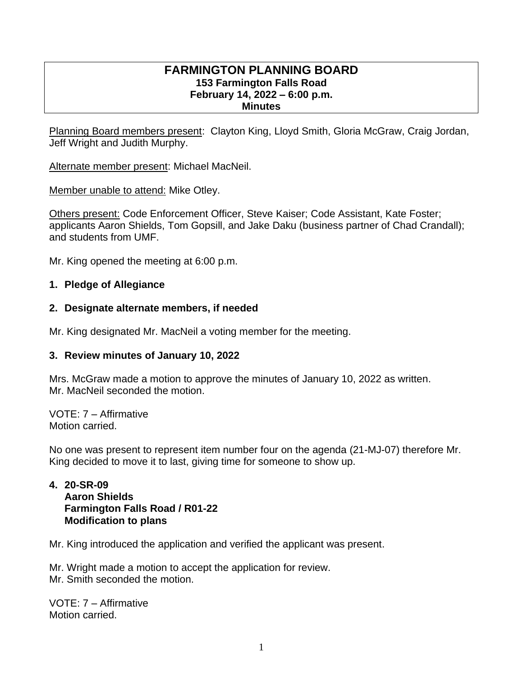#### **FARMINGTON PLANNING BOARD 153 Farmington Falls Road February 14, 2022 – 6:00 p.m. Minutes**

Planning Board members present: Clayton King, Lloyd Smith, Gloria McGraw, Craig Jordan, Jeff Wright and Judith Murphy.

Alternate member present: Michael MacNeil.

Member unable to attend: Mike Otley.

Others present: Code Enforcement Officer, Steve Kaiser; Code Assistant, Kate Foster; applicants Aaron Shields, Tom Gopsill, and Jake Daku (business partner of Chad Crandall); and students from UMF.

Mr. King opened the meeting at 6:00 p.m.

# **1. Pledge of Allegiance**

# **2. Designate alternate members, if needed**

Mr. King designated Mr. MacNeil a voting member for the meeting.

# **3. Review minutes of January 10, 2022**

Mrs. McGraw made a motion to approve the minutes of January 10, 2022 as written. Mr. MacNeil seconded the motion.

VOTE: 7 – Affirmative Motion carried.

No one was present to represent item number four on the agenda (21-MJ-07) therefore Mr. King decided to move it to last, giving time for someone to show up.

#### **4. 20-SR-09 Aaron Shields Farmington Falls Road / R01-22 Modification to plans**

Mr. King introduced the application and verified the applicant was present.

Mr. Wright made a motion to accept the application for review. Mr. Smith seconded the motion.

VOTE: 7 – Affirmative Motion carried.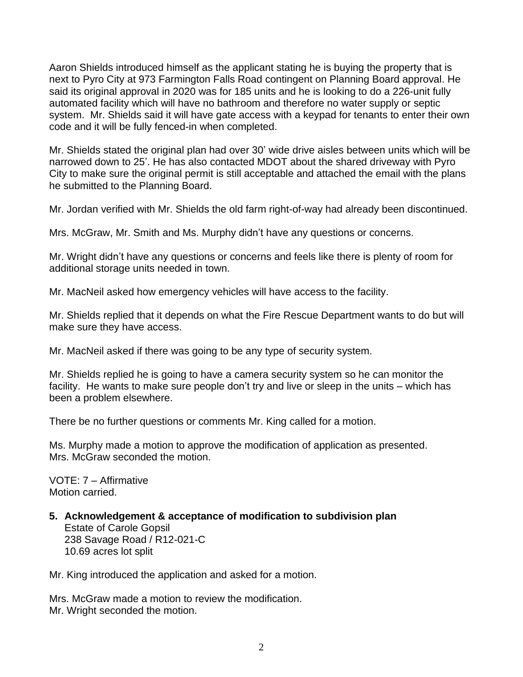Aaron Shields introduced himself as the applicant stating he is buying the property that is next to Pyro City at 973 Farmington Falls Road contingent on Planning Board approval. He said its original approval in 2020 was for 185 units and he is looking to do a 226-unit fully automated facility which will have no bathroom and therefore no water supply or septic system. Mr. Shields said it will have gate access with a keypad for tenants to enter their own code and it will be fully fenced-in when completed.

Mr. Shields stated the original plan had over 30' wide drive aisles between units which will be narrowed down to 25'. He has also contacted MDOT about the shared driveway with Pyro City to make sure the original permit is still acceptable and attached the email with the plans he submitted to the Planning Board.

Mr. Jordan verified with Mr. Shields the old farm right-of-way had already been discontinued.

Mrs. McGraw, Mr. Smith and Ms. Murphy didn't have any questions or concerns.

Mr. Wright didn't have any questions or concerns and feels like there is plenty of room for additional storage units needed in town.

Mr. MacNeil asked how emergency vehicles will have access to the facility.

Mr. Shields replied that it depends on what the Fire Rescue Department wants to do but will make sure they have access.

Mr. MacNeil asked if there was going to be any type of security system.

Mr. Shields replied he is going to have a camera security system so he can monitor the facility. He wants to make sure people don't try and live or sleep in the units – which has been a problem elsewhere.

There be no further questions or comments Mr. King called for a motion.

Ms. Murphy made a motion to approve the modification of application as presented. Mrs. McGraw seconded the motion.

VOTE: 7 – Affirmative Motion carried.

**5. Acknowledgement & acceptance of modification to subdivision plan** Estate of Carole Gopsil 238 Savage Road / R12-021-C 10.69 acres lot split

Mr. King introduced the application and asked for a motion.

Mrs. McGraw made a motion to review the modification. Mr. Wright seconded the motion.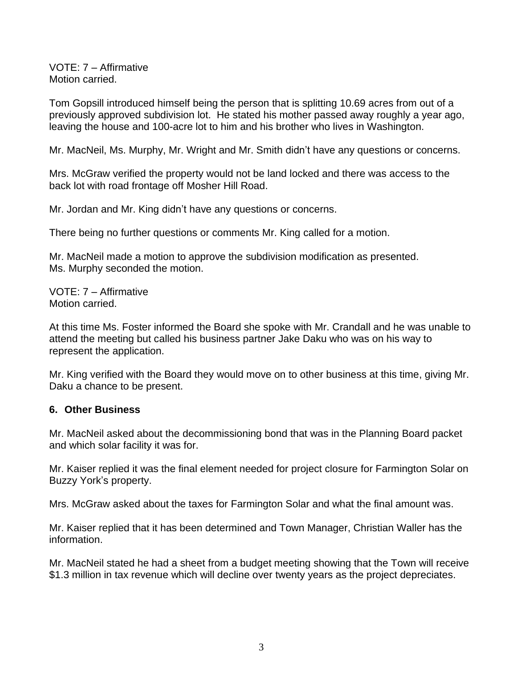VOTE: 7 – Affirmative Motion carried.

Tom Gopsill introduced himself being the person that is splitting 10.69 acres from out of a previously approved subdivision lot. He stated his mother passed away roughly a year ago, leaving the house and 100-acre lot to him and his brother who lives in Washington.

Mr. MacNeil, Ms. Murphy, Mr. Wright and Mr. Smith didn't have any questions or concerns.

Mrs. McGraw verified the property would not be land locked and there was access to the back lot with road frontage off Mosher Hill Road.

Mr. Jordan and Mr. King didn't have any questions or concerns.

There being no further questions or comments Mr. King called for a motion.

Mr. MacNeil made a motion to approve the subdivision modification as presented. Ms. Murphy seconded the motion.

VOTE: 7 – Affirmative Motion carried.

At this time Ms. Foster informed the Board she spoke with Mr. Crandall and he was unable to attend the meeting but called his business partner Jake Daku who was on his way to represent the application.

Mr. King verified with the Board they would move on to other business at this time, giving Mr. Daku a chance to be present.

## **6. Other Business**

Mr. MacNeil asked about the decommissioning bond that was in the Planning Board packet and which solar facility it was for.

Mr. Kaiser replied it was the final element needed for project closure for Farmington Solar on Buzzy York's property.

Mrs. McGraw asked about the taxes for Farmington Solar and what the final amount was.

Mr. Kaiser replied that it has been determined and Town Manager, Christian Waller has the information.

Mr. MacNeil stated he had a sheet from a budget meeting showing that the Town will receive \$1.3 million in tax revenue which will decline over twenty years as the project depreciates.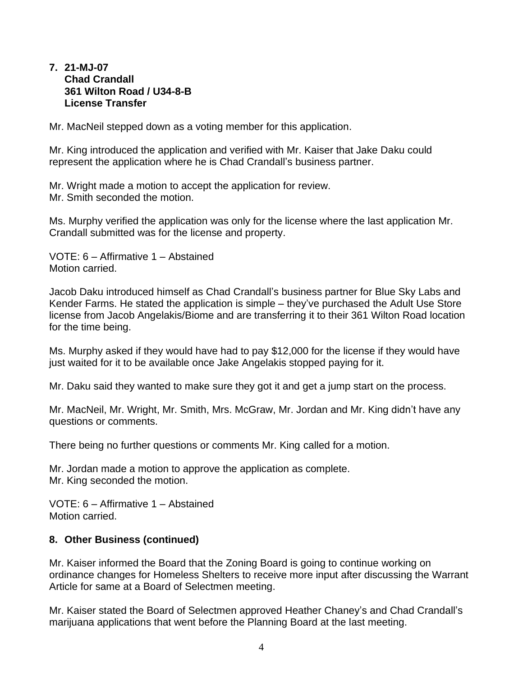#### **7. 21-MJ-07 Chad Crandall 361 Wilton Road / U34-8-B License Transfer**

Mr. MacNeil stepped down as a voting member for this application.

Mr. King introduced the application and verified with Mr. Kaiser that Jake Daku could represent the application where he is Chad Crandall's business partner.

Mr. Wright made a motion to accept the application for review. Mr. Smith seconded the motion.

Ms. Murphy verified the application was only for the license where the last application Mr. Crandall submitted was for the license and property.

VOTE: 6 – Affirmative 1 – Abstained Motion carried.

Jacob Daku introduced himself as Chad Crandall's business partner for Blue Sky Labs and Kender Farms. He stated the application is simple – they've purchased the Adult Use Store license from Jacob Angelakis/Biome and are transferring it to their 361 Wilton Road location for the time being.

Ms. Murphy asked if they would have had to pay \$12,000 for the license if they would have just waited for it to be available once Jake Angelakis stopped paying for it.

Mr. Daku said they wanted to make sure they got it and get a jump start on the process.

Mr. MacNeil, Mr. Wright, Mr. Smith, Mrs. McGraw, Mr. Jordan and Mr. King didn't have any questions or comments.

There being no further questions or comments Mr. King called for a motion.

Mr. Jordan made a motion to approve the application as complete. Mr. King seconded the motion.

VOTE: 6 – Affirmative 1 – Abstained Motion carried.

## **8. Other Business (continued)**

Mr. Kaiser informed the Board that the Zoning Board is going to continue working on ordinance changes for Homeless Shelters to receive more input after discussing the Warrant Article for same at a Board of Selectmen meeting.

Mr. Kaiser stated the Board of Selectmen approved Heather Chaney's and Chad Crandall's marijuana applications that went before the Planning Board at the last meeting.